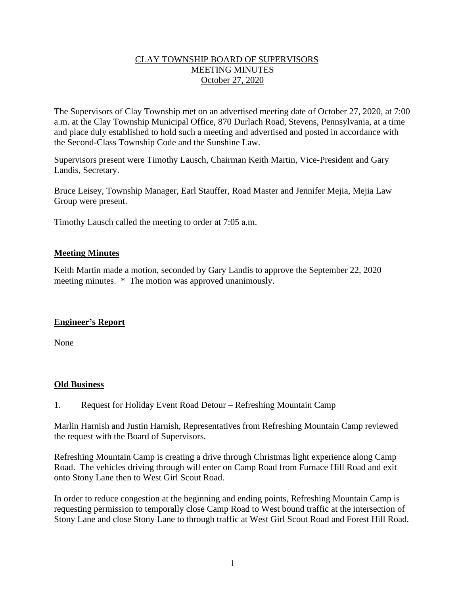## CLAY TOWNSHIP BOARD OF SUPERVISORS MEETING MINUTES October 27, 2020

The Supervisors of Clay Township met on an advertised meeting date of October 27, 2020, at 7:00 a.m. at the Clay Township Municipal Office, 870 Durlach Road, Stevens, Pennsylvania, at a time and place duly established to hold such a meeting and advertised and posted in accordance with the Second-Class Township Code and the Sunshine Law.

Supervisors present were Timothy Lausch, Chairman Keith Martin, Vice-President and Gary Landis, Secretary.

Bruce Leisey, Township Manager, Earl Stauffer, Road Master and Jennifer Mejia, Mejia Law Group were present.

Timothy Lausch called the meeting to order at 7:05 a.m.

### **Meeting Minutes**

Keith Martin made a motion, seconded by Gary Landis to approve the September 22, 2020 meeting minutes. \* The motion was approved unanimously.

## **Engineer's Report**

None

#### **Old Business**

1. Request for Holiday Event Road Detour – Refreshing Mountain Camp

Marlin Harnish and Justin Harnish, Representatives from Refreshing Mountain Camp reviewed the request with the Board of Supervisors.

Refreshing Mountain Camp is creating a drive through Christmas light experience along Camp Road. The vehicles driving through will enter on Camp Road from Furnace Hill Road and exit onto Stony Lane then to West Girl Scout Road.

In order to reduce congestion at the beginning and ending points, Refreshing Mountain Camp is requesting permission to temporally close Camp Road to West bound traffic at the intersection of Stony Lane and close Stony Lane to through traffic at West Girl Scout Road and Forest Hill Road.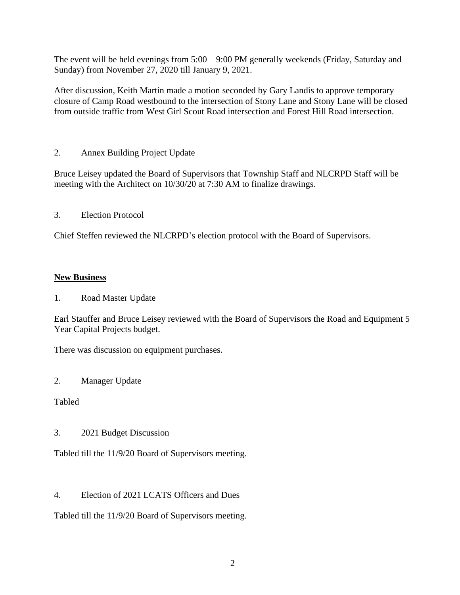The event will be held evenings from 5:00 – 9:00 PM generally weekends (Friday, Saturday and Sunday) from November 27, 2020 till January 9, 2021.

After discussion, Keith Martin made a motion seconded by Gary Landis to approve temporary closure of Camp Road westbound to the intersection of Stony Lane and Stony Lane will be closed from outside traffic from West Girl Scout Road intersection and Forest Hill Road intersection.

2. Annex Building Project Update

Bruce Leisey updated the Board of Supervisors that Township Staff and NLCRPD Staff will be meeting with the Architect on 10/30/20 at 7:30 AM to finalize drawings.

3. Election Protocol

Chief Steffen reviewed the NLCRPD's election protocol with the Board of Supervisors.

## **New Business**

1. Road Master Update

Earl Stauffer and Bruce Leisey reviewed with the Board of Supervisors the Road and Equipment 5 Year Capital Projects budget.

There was discussion on equipment purchases.

2. Manager Update

Tabled

3. 2021 Budget Discussion

Tabled till the 11/9/20 Board of Supervisors meeting.

4. Election of 2021 LCATS Officers and Dues

Tabled till the 11/9/20 Board of Supervisors meeting.